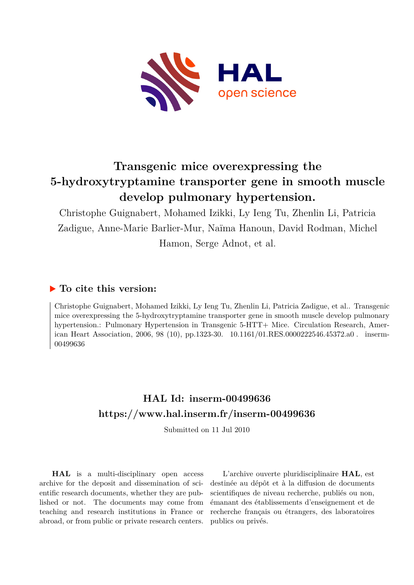

# **Transgenic mice overexpressing the 5-hydroxytryptamine transporter gene in smooth muscle develop pulmonary hypertension.**

Christophe Guignabert, Mohamed Izikki, Ly Ieng Tu, Zhenlin Li, Patricia Zadigue, Anne-Marie Barlier-Mur, Naïma Hanoun, David Rodman, Michel Hamon, Serge Adnot, et al.

# **To cite this version:**

Christophe Guignabert, Mohamed Izikki, Ly Ieng Tu, Zhenlin Li, Patricia Zadigue, et al.. Transgenic mice overexpressing the 5-hydroxytryptamine transporter gene in smooth muscle develop pulmonary hypertension.: Pulmonary Hypertension in Transgenic 5-HTT+ Mice. Circulation Research, American Heart Association, 2006, 98 (10), pp.1323-30. 10.1161/01.RES.0000222546.45372.a0. inserm-00499636

# **HAL Id: inserm-00499636 <https://www.hal.inserm.fr/inserm-00499636>**

Submitted on 11 Jul 2010

**HAL** is a multi-disciplinary open access archive for the deposit and dissemination of scientific research documents, whether they are published or not. The documents may come from teaching and research institutions in France or abroad, or from public or private research centers.

L'archive ouverte pluridisciplinaire **HAL**, est destinée au dépôt et à la diffusion de documents scientifiques de niveau recherche, publiés ou non, émanant des établissements d'enseignement et de recherche français ou étrangers, des laboratoires publics ou privés.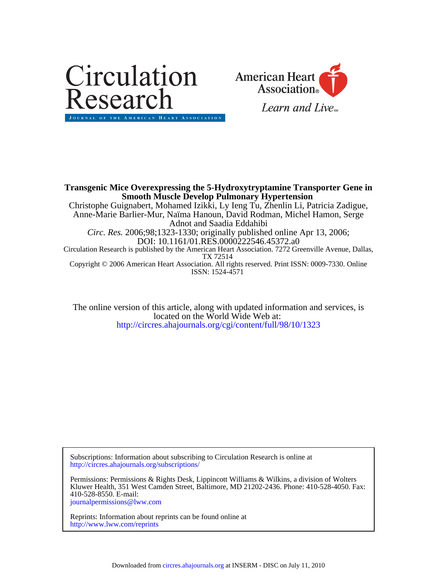



ISSN: 1524-4571 Copyright © 2006 American Heart Association. All rights reserved. Print ISSN: 0009-7330. Online TX 72514 Circulation Research is published by the American Heart Association. 7272 Greenville Avenue, Dallas, DOI: 10.1161/01.RES.0000222546.45372.a0 *Circ. Res.* 2006;98;1323-1330; originally published online Apr 13, 2006; Adnot and Saadia Eddahibi Anne-Marie Barlier-Mur, Naïma Hanoun, David Rodman, Michel Hamon, Serge Christophe Guignabert, Mohamed Izikki, Ly Ieng Tu, Zhenlin Li, Patricia Zadigue, **Smooth Muscle Develop Pulmonary Hypertension Transgenic Mice Overexpressing the 5-Hydroxytryptamine Transporter Gene in**

<http://circres.ahajournals.org/cgi/content/full/98/10/1323> located on the World Wide Web at: The online version of this article, along with updated information and services, is

<http://circres.ahajournals.org/subscriptions/> Subscriptions: Information about subscribing to Circulation Research is online at

[journalpermissions@lww.com](mailto:journalpermissions@lww.com) 410-528-8550. E-mail: Kluwer Health, 351 West Camden Street, Baltimore, MD 21202-2436. Phone: 410-528-4050. Fax: Permissions: Permissions & Rights Desk, Lippincott Williams & Wilkins, a division of Wolters

<http://www.lww.com/reprints> Reprints: Information about reprints can be found online at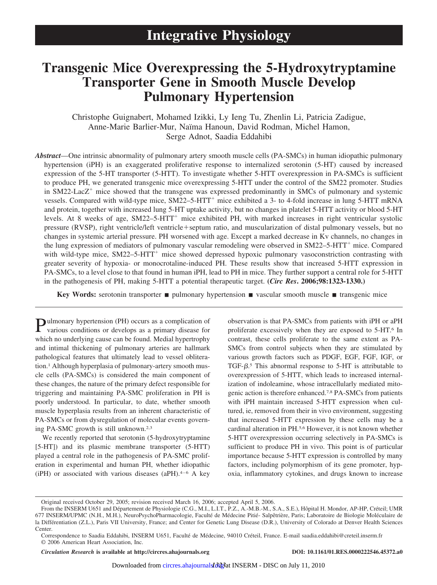# **Transgenic Mice Overexpressing the 5-Hydroxytryptamine Transporter Gene in Smooth Muscle Develop Pulmonary Hypertension**

Christophe Guignabert, Mohamed Izikki, Ly Ieng Tu, Zhenlin Li, Patricia Zadigue, Anne-Marie Barlier-Mur, Naïma Hanoun, David Rodman, Michel Hamon, Serge Adnot, Saadia Eddahibi

*Abstract*—One intrinsic abnormality of pulmonary artery smooth muscle cells (PA-SMCs) in human idiopathic pulmonary hypertension (iPH) is an exaggerated proliferative response to internalized serotonin (5-HT) caused by increased expression of the 5-HT transporter (5-HTT). To investigate whether 5-HTT overexpression in PA-SMCs is sufficient to produce PH, we generated transgenic mice overexpressing 5-HTT under the control of the SM22 promoter. Studies in  $SM22$ -Lac $Z^+$  mice showed that the transgene was expressed predominantly in SMCs of pulmonary and systemic vessels. Compared with wild-type mice, SM22–5-HTT mice exhibited a 3- to 4-fold increase in lung 5-HTT mRNA and protein, together with increased lung 5-HT uptake activity, but no changes in platelet 5-HTT activity or blood 5-HT levels. At 8 weeks of age, SM22–5-HTT<sup>+</sup> mice exhibited PH, with marked increases in right ventricular systolic pressure (RVSP), right ventricle/left ventricle+septum ratio, and muscularization of distal pulmonary vessels, but no changes in systemic arterial pressure. PH worsened with age. Except a marked decrease in Kv channels, no changes in the lung expression of mediators of pulmonary vascular remodeling were observed in  $SM22-5+HT$ <sup>+</sup> mice. Compared with wild-type mice, SM22–5-HTT<sup>+</sup> mice showed depressed hypoxic pulmonary vasoconstriction contrasting with greater severity of hypoxia- or monocrotaline-induced PH. These results show that increased 5-HTT expression in PA-SMCs, to a level close to that found in human iPH, lead to PH in mice. They further support a central role for 5-HTT in the pathogenesis of PH, making 5-HTT a potential therapeutic target. **(***Circ Res***. 2006;98:1323-1330.)**

**Key Words:** serotonin transporter **n** pulmonary hypertension **n** vascular smooth muscle **n** transgenic mice

Pulmonary hypertension (PH) occurs as a complication of various conditions or develops as a primary disease for which no underlying cause can be found. Medial hypertrophy and intimal thickening of pulmonary arteries are hallmark pathological features that ultimately lead to vessel obliteration.1 Although hyperplasia of pulmonary-artery smooth muscle cells (PA-SMCs) is considered the main component of these changes, the nature of the primary defect responsible for triggering and maintaining PA-SMC proliferation in PH is poorly understood. In particular, to date, whether smooth muscle hyperplasia results from an inherent characteristic of PA-SMCs or from dysregulation of molecular events governing PA-SMC growth is still unknown.2,3

We recently reported that serotonin (5-hydroxytryptamine [5-HT]) and its plasmic membrane transporter (5-HTT) played a central role in the pathogenesis of PA-SMC proliferation in experimental and human PH, whether idiopathic (iPH) or associated with various diseases (aPH). $4-6$  A key observation is that PA-SMCs from patients with iPH or aPH proliferate excessively when they are exposed to 5-HT.6 In contrast, these cells proliferate to the same extent as PA-SMCs from control subjects when they are stimulated by various growth factors such as PDGF, EGF, FGF, IGF, or TGF- $\beta$ .<sup>5</sup> This abnormal response to 5-HT is attributable to overexpression of 5-HTT, which leads to increased internalization of indoleamine, whose intracellularly mediated mitogenic action is therefore enhanced.7,8 PA-SMCs from patients with iPH maintain increased 5-HTT expression when cultured, ie, removed from their in vivo environment, suggesting that increased 5-HTT expression by these cells may be a cardinal alteration in PH.5,6 However, it is not known whether 5-HTT overexpression occurring selectively in PA-SMCs is sufficient to produce PH in vivo. This point is of particular importance because 5-HTT expression is controlled by many factors, including polymorphism of its gene promoter, hypoxia, inflammatory cytokines, and drugs known to increase

*Circulation Research* **is available at http://circres.ahajournals.org DOI: 10.1161/01.RES.0000222546.45372.a0**

Original received October 29, 2005; revision received March 16, 2006; accepted April 5, 2006.

From the INSERM U651 and Département de Physiologie (C.G., M.I., L.I.T., P.Z., A.-M.B.-M., S.A., S.E.), Hôpital H. Mondor, AP-HP, Créteil; UMR 677 INSERM/UPMC (N.H., M.H.), NeuroPsychoPharmacologie, Faculté de Médecine Pitié- Salpêtrière, Paris; Laboratoire de Biologie Moléculaire de la Différentiation (Z.L.), Paris VII University, France; and Center for Genetic Lung Disease (D.R.), University of Colorado at Denver Health Sciences Center.

Correspondence to Saadia Eddahibi, INSERM U651, Faculté de Médecine, 94010 Créteil, France. E-mail saadia.eddahibi@creteil.inserm.fr © 2006 American Heart Association, Inc.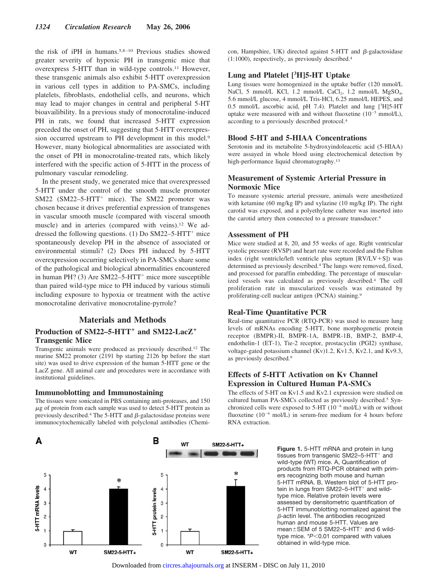the risk of iPH in humans.5,8 –10 Previous studies showed greater severity of hypoxic PH in transgenic mice that overexpress 5-HTT than in wild-type controls.11 However, these transgenic animals also exhibit 5-HTT overexpression in various cell types in addition to PA-SMCs, including platelets, fibroblasts, endothelial cells, and neurons, which may lead to major changes in central and peripheral 5-HT bioavailibility. In a previous study of monocrotaline-induced PH in rats, we found that increased 5-HTT expression preceded the onset of PH, suggesting that 5-HTT overexpression occurred upstream to PH development in this model.9 However, many biological abnormalities are associated with the onset of PH in monocrotaline-treated rats, which likely interfered with the specific action of 5-HTT in the process of pulmonary vascular remodeling.

In the present study, we generated mice that overexpressed 5-HTT under the control of the smooth muscle promoter SM22 (SM22–5-HTT<sup>+</sup> mice). The SM22 promoter was chosen because it drives preferential expression of transgenes in vascular smooth muscle (compared with visceral smooth muscle) and in arteries (compared with veins).12 We addressed the following questions. (1) Do  $SM22-5-HTT^+$  mice spontaneously develop PH in the absence of associated or environmental stimuli? (2) Does PH induced by 5-HTT overexpression occurring selectively in PA-SMCs share some of the pathological and biological abnormalities encountered in human PH? (3) Are  $SM22-5-HTT^+$  mice more susceptible than paired wild-type mice to PH induced by various stimuli including exposure to hypoxia or treatment with the active monocrotaline derivative monocrotaline-pyrrole?

#### **Materials and Methods**

# Production of SM22–5-HTT<sup>+</sup> and SM22-LacZ<sup>+</sup> **Transgenic Mice**

Transgenic animals were produced as previously described.12 The murine SM22 promoter (2191 bp starting 2126 bp before the start site) was used to drive expression of the human 5-HTT gene or the LacZ gene. All animal care and procedures were in accordance with institutional guidelines.

#### **Immunoblotting and Immunostaining**

The tissues were sonicated in PBS containing anti-proteases, and 150  $\mu$ g of protein from each sample was used to detect 5-HTT protein as previously described.<sup>4</sup> The 5-HTT and  $\beta$ -galactosidase proteins were immunocytochemically labeled with polyclonal antibodies (Chemicon, Hampshire, UK) directed against  $5-HTT$  and  $\beta$ -galactosidase (1:1000), respectively, as previously described.4

# **Lung and Platelet [3 H]5-HT Uptake**

Lung tissues were homogenized in the uptake buffer (120 mmol/L NaCl, 5 mmol/L KCl, 1.2 mmol/L CaCl<sub>2</sub>, 1.2 mmol/L  $MgSO<sub>4</sub>$ , 5.6 mmol/L glucose, 4 mmol/L Tris-HCl, 6.25 mmol/L HEPES, and 0.5 mmol/L ascorbic acid, pH 7.4). Platelet and lung [3H]5-HT uptake were measured with and without fluoxetine  $(10^{-5} \text{ mmol/L})$ , according to a previously described protocol.4

#### **Blood 5-HT and 5-HIAA Concentrations**

Serotonin and its metabolite 5-hydroxyindoleacetic acid (5-HIAA) were assayed in whole blood using electrochemical detection by high-performance liquid chromatography.13

#### **Measurement of Systemic Arterial Pressure in Normoxic Mice**

To measure systemic arterial pressure, animals were anesthetized with ketamine (60 mg/kg IP) and xylazine (10 mg/kg IP). The right carotid was exposed, and a polyethylene catheter was inserted into the carotid artery then connected to a pressure transducer.4

#### **Assessment of PH**

Mice were studied at 8, 20, and 55 weeks of age. Right ventricular systolic pressure (RVSP) and heart rate were recorded and the Fulton index (right ventricle/left ventricle plus septum  $[RV/LV+S]$ ) was determined as previously described.4 The lungs were removed, fixed, and processed for paraffin embedding. The percentage of muscularized vessels was calculated as previously described.4 The cell proliferation rate in muscularized vessels was estimated by proliferating-cell nuclear antigen (PCNA) staining.9

#### **Real-Time Quantitative PCR**

Real-time quantitative PCR (RTQ-PCR) was used to measure lung levels of mRNAs encoding 5-HTT, bone morphogenetic protein receptor (BMPR)-II, BMPR-1A, BMPR-1B, BMP-2, BMP-4, endothelin-1 (ET-1), Tie-2 receptor, prostacyclin (PGI2) synthase, voltage-gated potassium channel (Kv)1.2, Kv1.5, Kv2.1, and Kv9.3, as previously described.9

# **Effects of 5-HTT Activation on Kv Channel Expression in Cultured Human PA-SMCs**

The effects of 5-HT on Kv1.5 and Kv2.1 expression were studied on cultured human PA-SMCs collected as previously described.5 Synchronized cells were exposed to  $5-HT$  ( $10^{-6}$  mol/L) with or without fluoxetine  $(10^{-6} \text{ mol/L})$  in serum-free medium for 4 hours before RNA extraction.

A в **WT** SM22-5-HTT+ sk. 5 5 5-HTT mRNA levels 4 4 5-HTT protein levels 3 3  $\overline{c}$  $\overline{c}$  $\mathbf{0}$  $\Omega$ W<sub>1</sub> SM22-5-HTT+ **WT** SM22-5-HTT+

**Figure 1.** 5-HTT mRNA and protein in lung tissues from transgenic  $SM22-5-HTT^+$  and wild-type (WT) mice. A, Quantification of products from RTQ-PCR obtained with primers recognizing both mouse and human 5-HTT mRNA. B, Western blot of 5-HTT protein in lungs from SM22-5-HTT<sup>+</sup> and wildtype mice. Relative protein levels were assessed by densitometric quantification of 5-HTT immunoblotting normalized against the  $\beta$ -actin level. The antibodies recognized human and mouse 5-HTT. Values are mean $\pm$ SEM of 5 SM22–5-HTT<sup>+</sup> and 6 wildtype mice. \**P*<0.01 compared with values obtained in wild-type mice.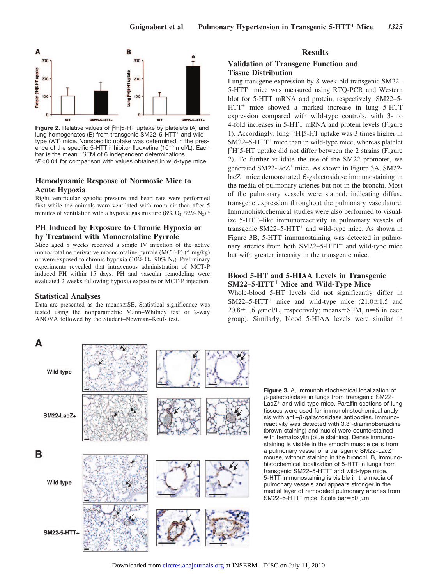

Figure 2. Relative values of [<sup>3</sup>H]5-HT uptake by platelets (A) and lung homogenates (B) from transgenic SM22-5-HTT<sup>+</sup> and wildtype (WT) mice. Nonspecific uptake was determined in the presence of the specific 5-HTT inhibitor fluoxetine (10<sup>-5</sup> mol/L). Each bar is the mean $\pm$ SEM of 6 independent determinations. \**P*0.01 for comparison with values obtained in wild-type mice.

# **Hemodynamic Response of Normoxic Mice to Acute Hypoxia**

Right ventricular systolic pressure and heart rate were performed first while the animals were ventilated with room air then after 5 minutes of ventilation with a hypoxic gas mixture (8%  $O_2$ , 92% N<sub>2</sub>).<sup>4</sup>

# **PH Induced by Exposure to Chronic Hypoxia or by Treatment with Monocrotaline Pyrrole**

Mice aged 8 weeks received a single IV injection of the active monocrotaline derivative monocrotaline pyrrole (MCT-P) (5 mg/kg) or were exposed to chronic hypoxia (10%  $O_2$ , 90% N<sub>2</sub>). Preliminary experiments revealed that intravenous administration of MCT-P induced PH within 15 days. PH and vascular remodeling were evaluated 2 weeks following hypoxia exposure or MCT-P injection.

#### **Statistical Analyses**

Data are presented as the means $\pm$ SE. Statistical significance was tested using the nonparametric Mann–Whitney test or 2-way ANOVA followed by the Student–Newman–Keuls test.

# **Results**

### **Validation of Transgene Function and Tissue Distribution**

Lung transgene expression by 8-week-old transgenic SM22– 5-HTT<sup>+</sup> mice was measured using RTQ-PCR and Western blot for 5-HTT mRNA and protein, respectively. SM22–5-  $HTT^+$  mice showed a marked increase in lung 5-HTT expression compared with wild-type controls, with 3- to 4-fold increases in 5-HTT mRNA and protein levels (Figure 1). Accordingly, lung [<sup>3</sup>H]5-HT uptake was 3 times higher in  $SM22-5-HTT^+$  mice than in wild-type mice, whereas platelet [<sup>3</sup>H]5-HT uptake did not differ between the 2 strains (Figure 2). To further validate the use of the SM22 promoter, we generated  $SM22$ -lac $Z^+$  mice. As shown in Figure 3A, SM22 $lacZ^+$  mice demonstrated  $\beta$ -galactosidase immunostaining in the media of pulmonary arteries but not in the bronchi. Most of the pulmonary vessels were stained, indicating diffuse transgene expression throughout the pulmonary vasculature. Immunohistochemical studies were also performed to visualize 5-HTT–like immunoreactivity in pulmonary vessels of transgenic  $SM22-5-HTT^+$  and wild-type mice. As shown in Figure 3B, 5-HTT immunostaining was detected in pulmonary arteries from both  $SM22-5-HTT^+$  and wild-type mice but with greater intensity in the transgenic mice.

### **Blood 5-HT and 5-HIAA Levels in Transgenic SM22–5-HTT<sup>+</sup> Mice and Wild-Type Mice**

Whole-blood 5-HT levels did not significantly differ in SM22–5-HTT<sup>+</sup> mice and wild-type mice  $(21.0 \pm 1.5$  and  $20.8 \pm 1.6$   $\mu$ mol/L, respectively; means  $\pm$  SEM, n=6 in each group). Similarly, blood 5-HIAA levels were similar in



**Figure 3.** A, Immunohistochemical localization of -galactosidase in lungs from transgenic SM22-  $LacZ<sup>+</sup>$  and wild-type mice. Paraffin sections of lung tissues were used for immunohistochemical analysis with anti- $\beta$ -galactosidase antibodies. Immunoreactivity was detected with 3,3-diaminobenzidine (brown staining) and nuclei were counterstained with hematoxylin (blue staining). Dense immunostaining is visible in the smooth muscle cells from a pulmonary vessel of a transgenic SM22-LacZ mouse, without staining in the bronchi. B, Immunohistochemical localization of 5-HTT in lungs from transgenic SM22-5-HTT<sup>+</sup> and wild-type mice. 5-HTT immunostaining is visible in the media of pulmonary vessels and appears stronger in the medial layer of remodeled pulmonary arteries from SM22-5-HTT<sup>+</sup> mice. Scale bar=50  $\mu$ m.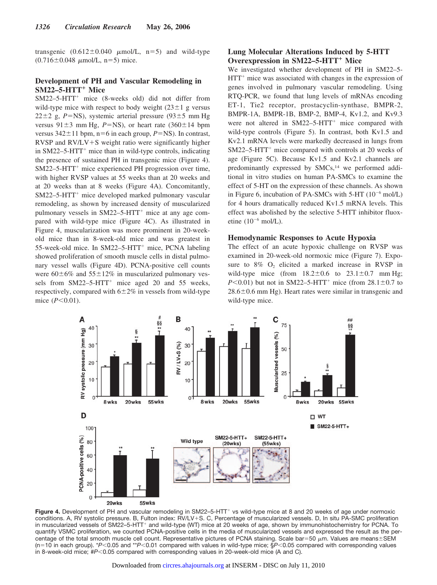transgenic  $(0.612 \pm 0.040 \mu \text{mol/L}, n=5)$  and wild-type  $(0.716 \pm 0.048 \mu mol/L, n=5)$  mice.

### **Development of PH and Vascular Remodeling in SM22-5-HTT<sup>+</sup> Mice**

 $SM22-5-HTT^+$  mice (8-weeks old) did not differ from wild-type mice with respect to body weight  $(23 \pm 1)$  g versus  $22 \pm 2$  g, *P*=NS), systemic arterial pressure (93 $\pm$ 5 mm Hg versus  $91\pm3$  mm Hg, *P*=NS), or heart rate (360 $\pm$ 14 bpm versus  $342 \pm 11$  bpm,  $n=6$  in each group,  $P=NS$ ). In contrast, RVSP and  $RV/LV+S$  weight ratio were significantly higher in  $SM22-5-HTT^+$  mice than in wild-type controls, indicating the presence of sustained PH in transgenic mice (Figure 4).  $SM22-5-HTT^+$  mice experienced PH progression over time, with higher RVSP values at 55 weeks than at 20 weeks and at 20 weeks than at 8 weeks (Figure 4A). Concomitantly, SM22–5-HTT<sup>+</sup> mice developed marked pulmonary vascular remodeling, as shown by increased density of muscularized pulmonary vessels in  $SM22-5-HTT^+$  mice at any age compared with wild-type mice (Figure 4C). As illustrated in Figure 4, muscularization was more prominent in 20-weekold mice than in 8-week-old mice and was greatest in 55-week-old mice. In SM22–5-HTT<sup>+</sup> mice, PCNA labeling showed proliferation of smooth muscle cells in distal pulmonary vessel walls (Figure 4D). PCNA-positive cell counts were  $60\pm6\%$  and  $55\pm12\%$  in muscularized pulmonary vessels from SM22-5-HTT<sup>+</sup> mice aged 20 and 55 weeks, respectively, compared with  $6\pm2\%$  in vessels from wild-type mice  $(P<0.01)$ .

# **Lung Molecular Alterations Induced by 5-HTT Overexpression in SM22–5-HTT<sup>+</sup> Mice**

We investigated whether development of PH in SM22–5-  $HTT<sup>+</sup>$  mice was associated with changes in the expression of genes involved in pulmonary vascular remodeling. Using RTQ-PCR, we found that lung levels of mRNAs encoding ET-1, Tie2 receptor, prostacyclin-synthase, BMPR-2, BMPR-1A, BMPR-1B, BMP-2, BMP-4, Kv1.2, and Kv9.3 were not altered in  $SM22-5-HTT^+$  mice compared with wild-type controls (Figure 5). In contrast, both Kv1.5 and Kv2.1 mRNA levels were markedly decreased in lungs from  $SM22-5-HTT^+$  mice compared with controls at 20 weeks of age (Figure 5C). Because Kv1.5 and Kv2.1 channels are predominantly expressed by SMCs,<sup>14</sup> we performed additional in vitro studies on human PA-SMCs to examine the effect of 5-HT on the expression of these channels. As shown in Figure 6, incubation of PA-SMCs with 5-HT (10<sup>-6</sup> mol/L) for 4 hours dramatically reduced Kv1.5 mRNA levels. This effect was abolished by the selective 5-HTT inhibitor fluoxetine  $(10^{-6}$  mol/L).

#### **Hemodynamic Responses to Acute Hypoxia**

The effect of an acute hypoxic challenge on RVSP was examined in 20-week-old normoxic mice (Figure 7). Exposure to  $8\%$  O<sub>2</sub> elicited a marked increase in RVSP in wild-type mice (from  $18.2 \pm 0.6$  to  $23.1 \pm 0.7$  mm Hg; *P*<0.01) but not in SM22–5-HTT<sup>+</sup> mice (from  $28.1 \pm 0.7$  to  $28.6\pm0.6$  mm Hg). Heart rates were similar in transgenic and wild-type mice.



Figure 4. Development of PH and vascular remodeling in SM22-5-HTT<sup>+</sup> vs wild-type mice at 8 and 20 weeks of age under normoxic conditions. A, RV systolic pressure. B, Fulton index: RV/LV+S. C, Percentage of muscularized vessels. D, In situ PA-SMC proliferation in muscularized vessels of SM22-5-HTT<sup>+</sup> and wild-type (WT) mice at 20 weeks of age, shown by immunohistochemistry for PCNA. To quantify VSMC proliferation, we counted PCNA-positive cells in the media of muscularized vessels and expressed the result as the percentage of the total smooth muscle cell count. Representative pictures of PCNA staining. Scale bar=50  $\mu$ m. Values are means $\pm$ SEM  $(n=10$  in each group).  $*P<0.05$  and  $*P<0.01$  compared with values in wild-type mice; §*P*<0.05 compared with corresponding values in 8-week-old mice; #P<0.05 compared with corresponding values in 20-week-old mice (A and C).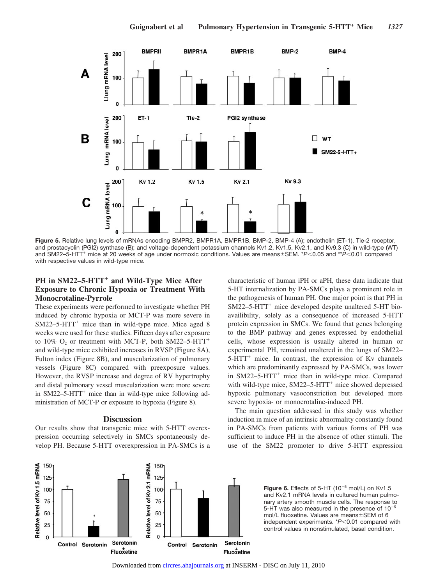

**Figure 5.** Relative lung levels of mRNAs encoding BMPR2, BMPR1A, BMPR1B, BMP-2, BMP-4 (A); endothelin (ET-1), Tie-2 receptor, and prostacyclin (PGI2) synthase (B); and voltage-dependent potassium channels Kv1.2, Kv1.5, Kv2.1, and Kv9.3 (C) in wild-type (WT) and SM22–5-HTT<sup>+</sup> mice at 20 weeks of age under normoxic conditions. Values are means±SEM. \**P*<0.05 and \*\**P*<0.01 compared with respective values in wild-type mice.

# PH in SM22-5-HTT<sup>+</sup> and Wild-Type Mice After **Exposure to Chronic Hypoxia or Treatment With Monocrotaline-Pyrrole**

These experiments were performed to investigate whether PH induced by chronic hypoxia or MCT-P was more severe in  $SM22-5-HTT^+$  mice than in wild-type mice. Mice aged 8 weeks were used for these studies. Fifteen days after exposure to  $10\%$  O<sub>2</sub> or treatment with MCT-P, both SM22–5-HTT<sup>+</sup> and wild-type mice exhibited increases in RVSP (Figure 8A), Fulton index (Figure 8B), and muscularization of pulmonary vessels (Figure 8C) compared with preexposure values. However, the RVSP increase and degree of RV hypertrophy and distal pulmonary vessel muscularization were more severe in  $SM22-5-HTT^+$  mice than in wild-type mice following administration of MCT-P or exposure to hypoxia (Figure 8).

#### **Discussion**

Our results show that transgenic mice with 5-HTT overexpression occurring selectively in SMCs spontaneously develop PH. Because 5-HTT overexpression in PA-SMCs is a characteristic of human iPH or aPH, these data indicate that 5-HT internalization by PA-SMCs plays a prominent role in the pathogenesis of human PH. One major point is that PH in  $SM22-5$ -HTT<sup>+</sup> mice developed despite unaltered 5-HT bioavailibility, solely as a consequence of increased 5-HTT protein expression in SMCs. We found that genes belonging to the BMP pathway and genes expressed by endothelial cells, whose expression is usually altered in human or experimental PH, remained unaltered in the lungs of SM22–  $5-HTT^+$  mice. In contrast, the expression of Kv channels which are predominantly expressed by PA-SMCs, was lower in  $SM22-5-HTT^+$  mice than in wild-type mice. Compared with wild-type mice,  $SM22-5-HTT^+$  mice showed depressed hypoxic pulmonary vasoconstriction but developed more severe hypoxia- or monocrotaline-induced PH.

The main question addressed in this study was whether induction in mice of an intrinsic abnormality constantly found in PA-SMCs from patients with various forms of PH was sufficient to induce PH in the absence of other stimuli. The use of the SM22 promoter to drive 5-HTT expression



**Figure 6.** Effects of 5-HT  $(10^{-6} \text{ mol/L})$  on Kv1.5 and Kv2.1 mRNA levels in cultured human pulmonary artery smooth muscle cells. The response to 5-HT was also measured in the presence of  $10^{-5}$ mol/L fluoxetine. Values are means $\pm$ SEM of 6 independent experiments. \**P*<0.01 compared with control values in nonstimulated, basal condition.

Downloaded from [circres.ahajournals.org](http://circres.ahajournals.org) at INSERM - DISC on July 11, 2010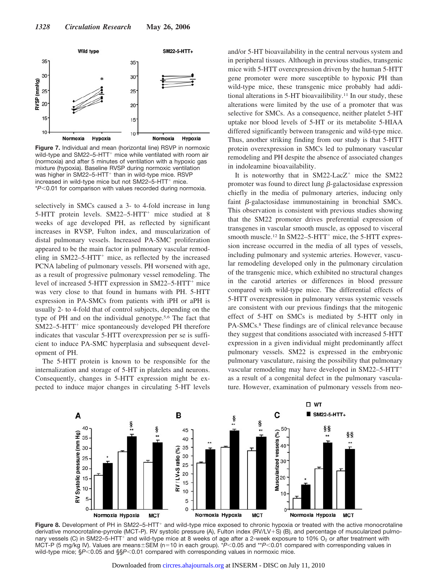

**Figure 7.** Individual and mean (horizontal line) RSVP in normoxic wild-type and SM22-5-HTT<sup>+</sup> mice while ventilated with room air (normoxia) and after 5 minutes of ventilation with a hypoxic gas mixture (hypoxia). Baseline RVSP during normoxic ventilation was higher in SM22-5-HTT<sup>+</sup> than in wild-type mice. RSVP increased in wild-type mice but not SM22-5-HTT<sup>+</sup> mice. \**P*0.01 for comparison with values recorded during normoxia.

selectively in SMCs caused a 3- to 4-fold increase in lung 5-HTT protein levels. SM22–5-HTT<sup>+</sup> mice studied at 8 weeks of age developed PH, as reflected by significant increases in RVSP, Fulton index, and muscularization of distal pulmonary vessels. Increased PA-SMC proliferation appeared to be the main factor in pulmonary vascular remodeling in  $SM22-5-HTT^+$  mice, as reflected by the increased PCNA labeling of pulmonary vessels. PH worsened with age, as a result of progressive pulmonary vessel remodeling. The level of increased  $5-HTT$  expression in  $SM22-5-HTT<sup>+</sup>$  mice was very close to that found in humans with PH. 5-HTT expression in PA-SMCs from patients with iPH or aPH is usually 2- to 4-fold that of control subjects, depending on the type of PH and on the individual genotype.5,6 The fact that  $SM22-5-HTT^+$  mice spontaneously developed PH therefore indicates that vascular 5-HTT overexpression per se is sufficient to induce PA-SMC hyperplasia and subsequent development of PH.

The 5-HTT protein is known to be responsible for the internalization and storage of 5-HT in platelets and neurons. Consequently, changes in 5-HTT expression might be expected to induce major changes in circulating 5-HT levels and/or 5-HT bioavailability in the central nervous system and in peripheral tissues. Although in previous studies, transgenic mice with 5-HTT overexpression driven by the human 5-HTT gene promoter were more susceptible to hypoxic PH than wild-type mice, these transgenic mice probably had additional alterations in 5-HT bioavailibility.11 In our study, these alterations were limited by the use of a promoter that was selective for SMCs. As a consequence, neither platelet 5-HT uptake nor blood levels of 5-HT or its metabolite 5-HIAA differed significantly between transgenic and wild-type mice. Thus, another striking finding from our study is that 5-HTT protein overexpression in SMCs led to pulmonary vascular remodeling and PH despite the absence of associated changes in indoleamine bioavailability.

It is noteworthy that in  $SM22$ -Lac $Z^+$  mice the SM22 promoter was found to direct lung  $\beta$ -galactosidase expression chiefly in the media of pulmonary arteries, inducing only faint  $\beta$ -galactosidase immunostaining in bronchial SMCs. This observation is consistent with previous studies showing that the SM22 promoter drives preferential expression of transgenes in vascular smooth muscle, as opposed to visceral smooth muscle.<sup>12</sup> In SM22–5-HTT<sup>+</sup> mice, the 5-HTT expression increase occurred in the media of all types of vessels, including pulmonary and systemic arteries. However, vascular remodeling developed only in the pulmonary circulation of the transgenic mice, which exhibited no structural changes in the carotid arteries or differences in blood pressure compared with wild-type mice. The differential effects of 5-HTT overexpression in pulmonary versus systemic vessels are consistent with our previous findings that the mitogenic effect of 5-HT on SMCs is mediated by 5-HTT only in PA-SMCs.8 These findings are of clinical relevance because they suggest that conditions associated with increased 5-HTT expression in a given individual might predominantly affect pulmonary vessels. SM22 is expressed in the embryonic pulmonary vasculature, raising the possibility that pulmonary vascular remodeling may have developed in SM22–5-HTT as a result of a congenital defect in the pulmonary vasculature. However, examination of pulmonary vessels from neo-



Figure 8. Development of PH in SM22-5-HTT<sup>+</sup> and wild-type mice exposed to chronic hypoxia or treated with the active monocrotaline derivative monocrotaline-pyrrole (MCT-P). RV systolic pressure (A), Fulton index (RV/LV+S) (B), and percentage of muscularized pulmonary vessels (C) in SM22–5-HTT<sup>+</sup> and wild-type mice at 8 weeks of age after a 2-week exposure to 10%  $O_2$  or after treatment with MCT-P (5 mg/kg IV). Values are means±SEM (n=10 in each group). \**P*<0.05 and \*\**P*<0.01 compared with corresponding values in wild-type mice; §*P<*0.05 and §§*P<*0.01 compared with corresponding values in normoxic mice.

Downloaded from [circres.ahajournals.org](http://circres.ahajournals.org) at INSERM - DISC on July 11, 2010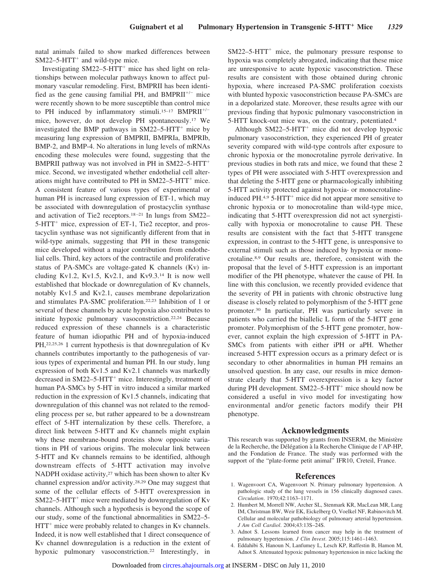natal animals failed to show marked differences between  $SM22-5-HTT^+$  and wild-type mice.

Investigating  $SM22-5-HTT^+$  mice has shed light on relationships between molecular pathways known to affect pulmonary vascular remodeling. First, BMPRII has been identified as the gene causing familial PH, and  $BMPRII^{+/-}$  mice were recently shown to be more susceptible than control mice to PH induced by inflammatory stimuli.<sup>15-17</sup> BMPRII<sup>+/-</sup> mice, however, do not develop PH spontaneously.17 We investigated the BMP pathways in  $SM22-5-HTT^+$  mice by measuring lung expression of BMPRII, BMPRIa, BMPRIb, BMP-2, and BMP-4. No alterations in lung levels of mRNAs encoding these molecules were found, suggesting that the BMPRII pathway was not involved in PH in SM22–5-HTT mice. Second, we investigated whether endothelial cell alterations might have contributed to  $PH$  in  $SM22-5-HTT^+$  mice. A consistent feature of various types of experimental or human PH is increased lung expression of ET-1, which may be associated with downregulation of prostacyclin synthase and activation of Tie2 receptors.<sup>18-21</sup> In lungs from SM22- $5-HTT^+$  mice, expression of ET-1, Tie2 receptor, and prostacyclin synthase was not significantly different from that in wild-type animals, suggesting that PH in these transgenic mice developed without a major contribution from endothelial cells. Third, key actors of the contractile and proliferative status of PA-SMCs are voltage-gated K channels (Kv) including Kv1.2, Kv1.5, Kv2.1, and Kv9.3. $14$  It is now well established that blockade or downregulation of Kv channels, notably Kv1.5 and Kv2.1, causes membrane depolarization and stimulates PA-SMC proliferation.22,23 Inhibition of 1 or several of these channels by acute hypoxia also contributes to initiate hypoxic pulmonary vasoconstriction.22,24 Because reduced expression of these channels is a characteristic feature of human idiopathic PH and of hypoxia-induced PH,22,25,26 1 current hypothesis is that downregulation of Kv channels contributes importantly to the pathogenesis of various types of experimental and human PH. In our study, lung expression of both Kv1.5 and Kv2.1 channels was markedly decreased in  $SM22-5-HTT^+$  mice. Interestingly, treatment of human PA-SMCs by 5-HT in vitro induced a similar marked reduction in the expression of Kv1.5 channels, indicating that downregulation of this channel was not related to the remodeling process per se, but rather appeared to be a downstream effect of 5-HT internalization by these cells. Therefore, a direct link between 5-HTT and Kv channels might explain why these membrane-bound proteins show opposite variations in PH of various origins. The molecular link between 5-HTT and Kv channels remains to be identified, although downstream effects of 5-HTT activation may involve NADPH oxidase activity,<sup>27</sup> which has been shown to alter Kv channel expression and/or activity.28,29 One may suggest that some of the cellular effects of 5-HTT overexpression in  $SM22-5$ -HTT<sup>+</sup> mice were mediated by downregulation of Kv channels. Although such a hypothesis is beyond the scope of our study, some of the functional abnormalities in SM22–5-  $HTT<sup>+</sup>$  mice were probably related to changes in Kv channels. Indeed, it is now well established that 1 direct consequence of Kv channel downregulation is a reduction in the extent of hypoxic pulmonary vasoconstriction.<sup>22</sup> Interestingly, in  $SM22-5-HTT^+$  mice, the pulmonary pressure response to hypoxia was completely abrogated, indicating that these mice are unresponsive to acute hypoxic vasoconstriction. These results are consistent with those obtained during chronic hypoxia, where increased PA-SMC proliferation coexists with blunted hypoxic vasoconstriction because PA-SMCs are in a depolarized state. Moreover, these results agree with our previous finding that hypoxic pulmonary vasoconstriction in 5-HTT knock-out mice was, on the contrary, potentiated.4

Although  $SM22-5-HTT^+$  mice did not develop hypoxic pulmonary vasoconstriction, they experienced PH of greater severity compared with wild-type controls after exposure to chronic hypoxia or the monocrotaline pyrrole derivative. In previous studies in both rats and mice, we found that these 2 types of PH were associated with 5-HTT overexpression and that deleting the 5-HTT gene or pharmacologically inhibiting 5-HTT activity protected against hypoxia- or monocrotalineinduced PH. $4.9$  5-HTT<sup>+</sup> mice did not appear more sensitive to chronic hypoxia or to monocrotaline than wild-type mice, indicating that 5-HTT overexpression did not act synergistically with hypoxia or monocrotaline to cause PH. These results are consistent with the fact that 5-HTT transgene expression, in contrast to the 5-HTT gene, is unresponsive to external stimuli such as those induced by hypoxia or monocrotaline.8,9 Our results are, therefore, consistent with the proposal that the level of 5-HTT expression is an important modifier of the PH phenotype, whatever the cause of PH. In line with this conclusion, we recently provided evidence that the severity of PH in patients with chronic obstructive lung disease is closely related to polymorphism of the 5-HTT gene promoter.30 In particular, PH was particularly severe in patients who carried the biallelic L form of the 5-HTT gene promoter. Polymorphism of the 5-HTT gene promoter, however, cannot explain the high expression of 5-HTT in PA-SMCs from patients with either iPH or aPH. Whether increased 5-HTT expression occurs as a primary defect or is secondary to other abnormalities in human PH remains an unsolved question. In any case, our results in mice demonstrate clearly that 5-HTT overexpression is a key factor during PH development.  $SM22-5-HTT^+$  mice should now be considered a useful in vivo model for investigating how environmental and/or genetic factors modify their PH phenotype.

#### **Acknowledgments**

This research was supported by grants from INSERM, the Ministère de la Recherche, the Délégation à la Recherche Clinique de l'AP-HP, and the Fondation de France. The study was performed with the support of the "plate-forme petit animal" IFR10, Creteil, France.

#### **References**

- 1. Wagenvoort CA, Wagenvoort N. Primary pulmonary hypertension. A pathologic study of the lung vessels in 156 clinically diagnosed cases. *Circulation*. 1970;42:1163–1171.
- 2. Humbert M, Morrell NW, Archer SL, Stenmark KR, MacLean MR, Lang IM, Christman BW, Weir EK, Eickelberg O, Voelkel NF, Rabinovitch M. Cellular and molecular pathobiology of pulmonary arterial hypertension. *J Am Coll Cardiol*. 2004;43:13S–24S.
- 3. Adnot S. Lessons learned from cancer may help in the treatment of pulmonary hypertension. *J Clin Invest*. 2005;115:1461–1463.
- 4. Eddahibi S, Hanoun N, Lanfumey L, Lesch KP, Raffestin B, Hamon M, Adnot S. Attenuated hypoxic pulmonary hypertension in mice lacking the